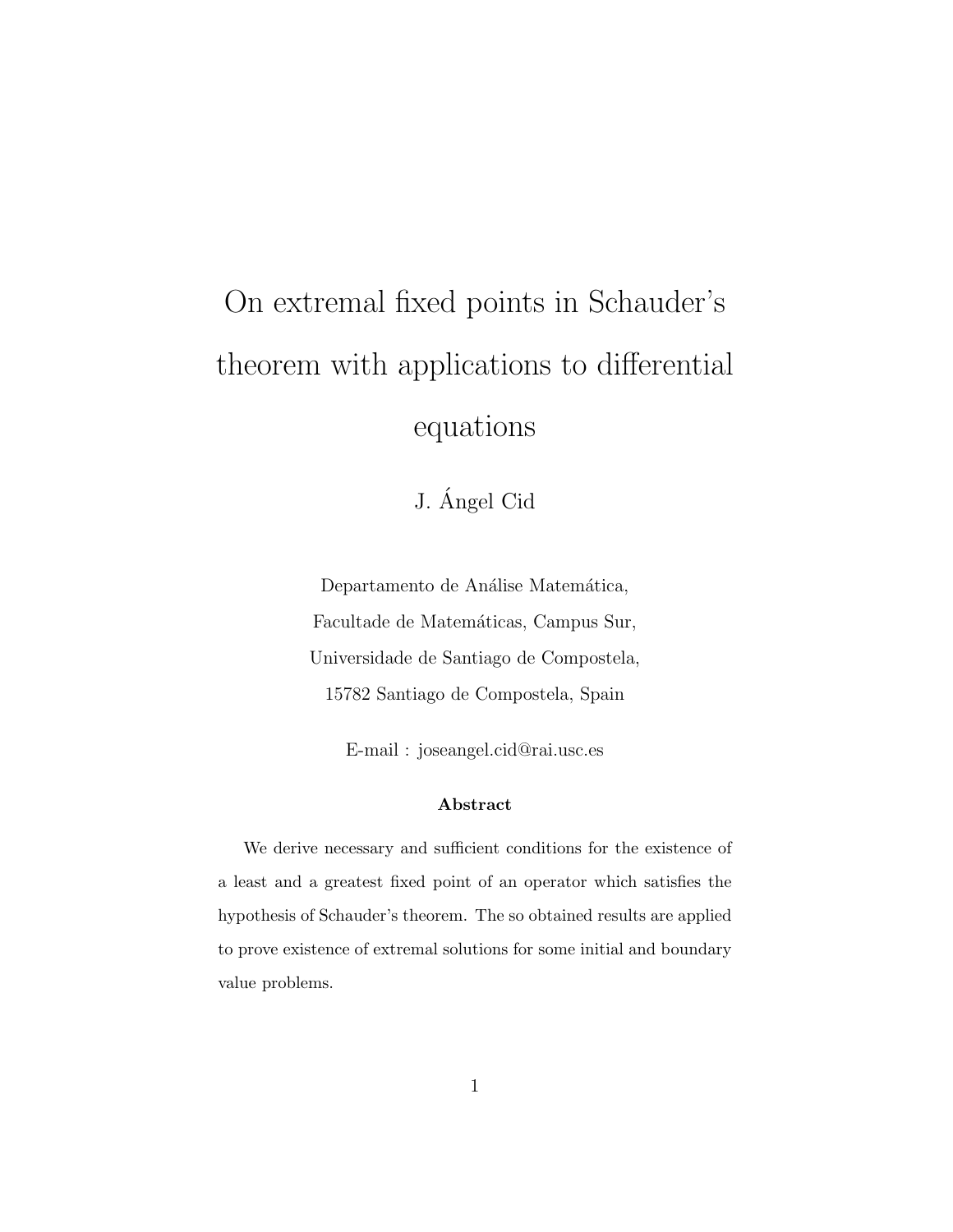# On extremal fixed points in Schauder's theorem with applications to differential equations

J. Angel Cid ´

Departamento de Análise Matemática, Facultade de Matemáticas, Campus Sur, Universidade de Santiago de Compostela, 15782 Santiago de Compostela, Spain

E-mail : joseangel.cid@rai.usc.es

#### Abstract

We derive necessary and sufficient conditions for the existence of a least and a greatest fixed point of an operator which satisfies the hypothesis of Schauder's theorem. The so obtained results are applied to prove existence of extremal solutions for some initial and boundary value problems.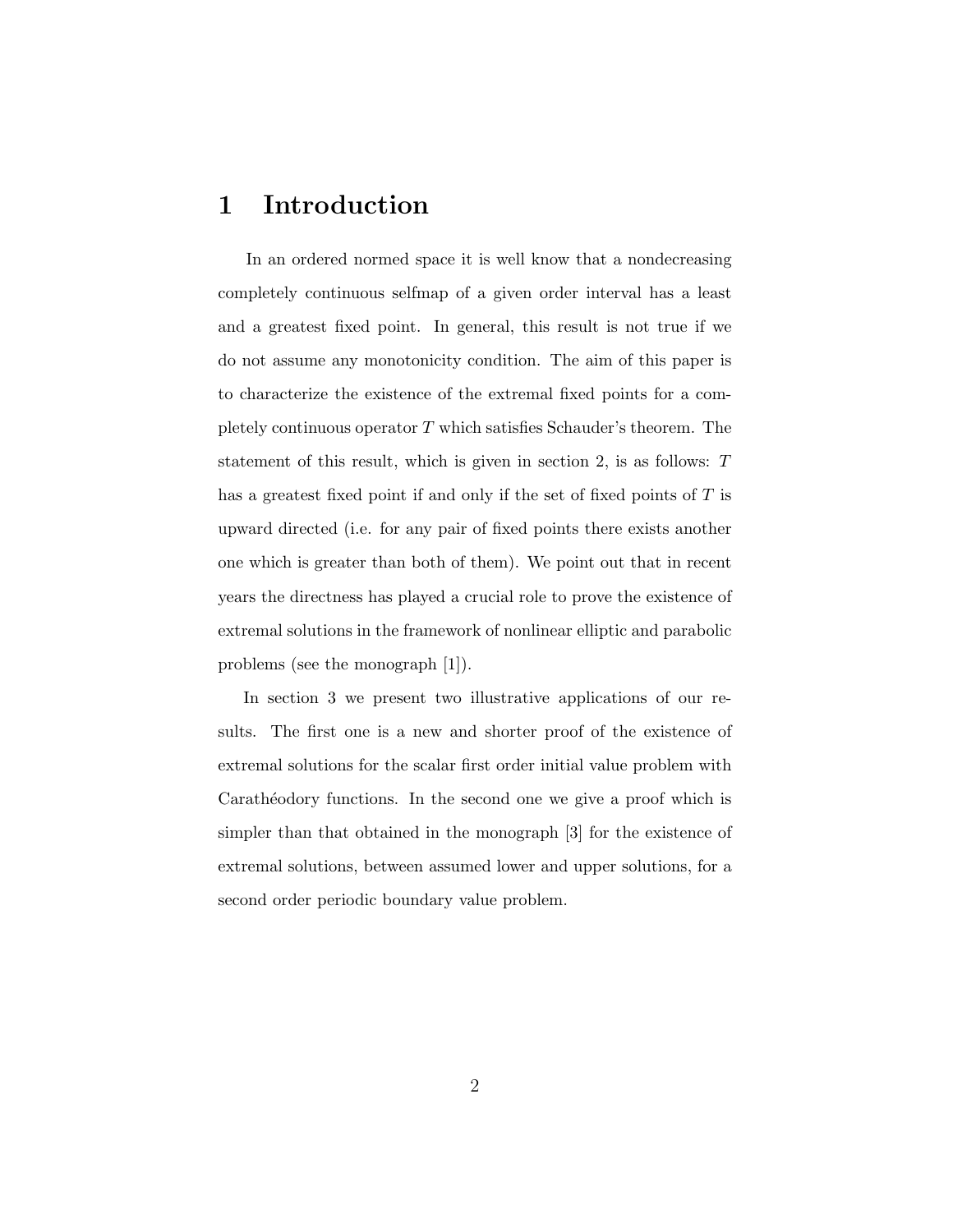# 1 Introduction

In an ordered normed space it is well know that a nondecreasing completely continuous selfmap of a given order interval has a least and a greatest fixed point. In general, this result is not true if we do not assume any monotonicity condition. The aim of this paper is to characterize the existence of the extremal fixed points for a completely continuous operator  $T$  which satisfies Schauder's theorem. The statement of this result, which is given in section 2, is as follows: T has a greatest fixed point if and only if the set of fixed points of T is upward directed (i.e. for any pair of fixed points there exists another one which is greater than both of them). We point out that in recent years the directness has played a crucial role to prove the existence of extremal solutions in the framework of nonlinear elliptic and parabolic problems (see the monograph [1]).

In section 3 we present two illustrative applications of our results. The first one is a new and shorter proof of the existence of extremal solutions for the scalar first order initial value problem with Carathéodory functions. In the second one we give a proof which is simpler than that obtained in the monograph [3] for the existence of extremal solutions, between assumed lower and upper solutions, for a second order periodic boundary value problem.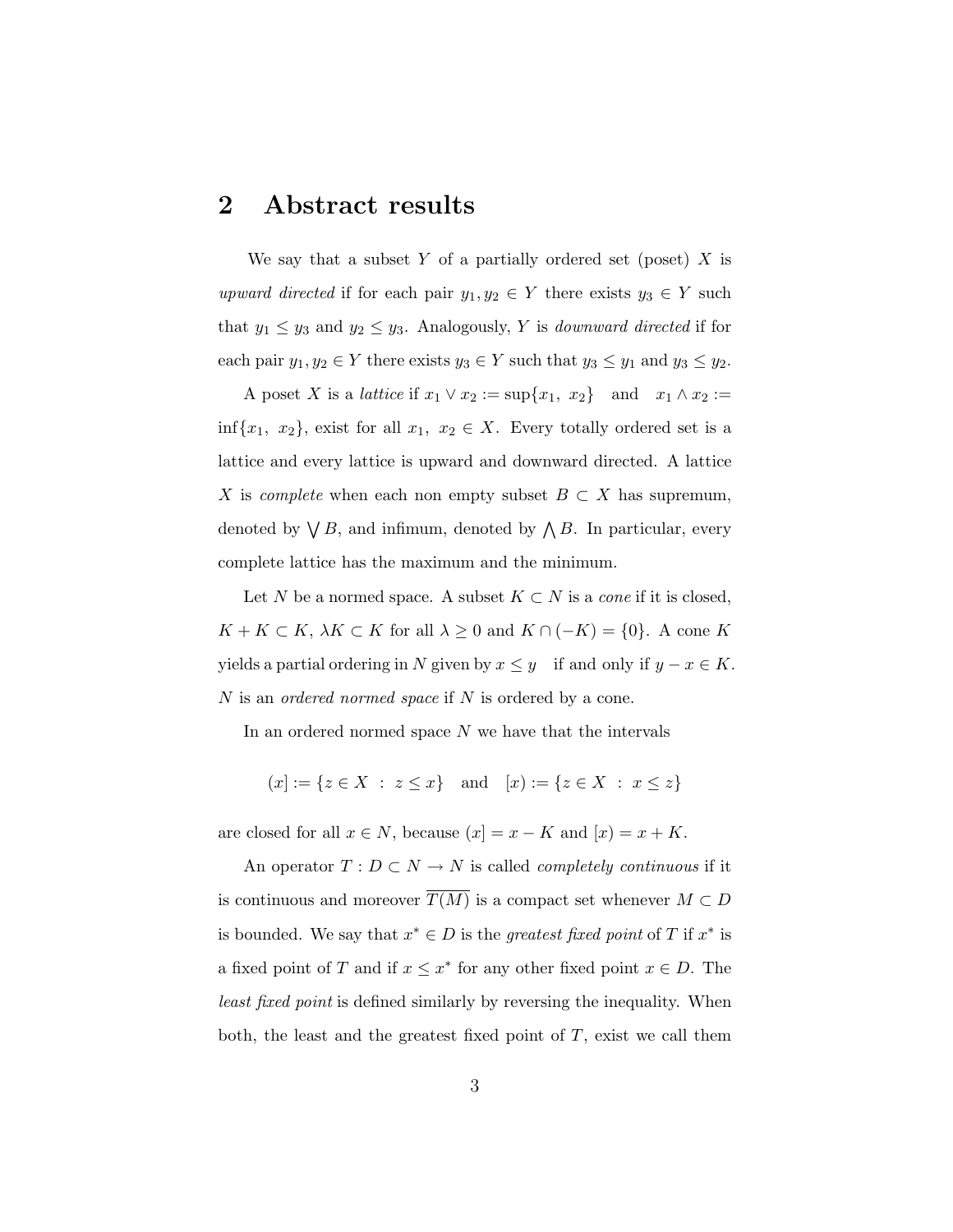### 2 Abstract results

We say that a subset Y of a partially ordered set (poset)  $X$  is upward directed if for each pair  $y_1, y_2 \in Y$  there exists  $y_3 \in Y$  such that  $y_1 \leq y_3$  and  $y_2 \leq y_3$ . Analogously, Y is *downward directed* if for each pair  $y_1, y_2 \in Y$  there exists  $y_3 \in Y$  such that  $y_3 \le y_1$  and  $y_3 \le y_2$ .

A poset X is a *lattice* if  $x_1 \vee x_2 := \sup\{x_1, x_2\}$  and  $x_1 \wedge x_2 :=$ inf{x<sub>1</sub>, x<sub>2</sub>}, exist for all  $x_1, x_2 \in X$ . Every totally ordered set is a lattice and every lattice is upward and downward directed. A lattice X is *complete* when each non empty subset  $B \subset X$  has supremum, denoted by  $\bigvee B$ , and infimum, denoted by  $\bigwedge B$ . In particular, every complete lattice has the maximum and the minimum.

Let N be a normed space. A subset  $K \subset N$  is a *cone* if it is closed,  $K + K \subset K$ ,  $\lambda K \subset K$  for all  $\lambda \geq 0$  and  $K \cap (-K) = \{0\}$ . A cone K yields a partial ordering in N given by  $x \leq y$  if and only if  $y - x \in K$ . N is an *ordered normed space* if N is ordered by a cone.

In an ordered normed space  $N$  we have that the intervals

 $(x) := \{z \in X : z \leq x\}$  and  $[x] := \{z \in X : x \leq z\}$ 

are closed for all  $x \in N$ , because  $(x] = x - K$  and  $[x] = x + K$ .

An operator  $T: D \subset N \rightarrow N$  is called *completely continuous* if it is continuous and moreover  $\overline{T(M)}$  is a compact set whenever  $M \subset D$ is bounded. We say that  $x^* \in D$  is the greatest fixed point of T if  $x^*$  is a fixed point of T and if  $x \leq x^*$  for any other fixed point  $x \in D$ . The least fixed point is defined similarly by reversing the inequality. When both, the least and the greatest fixed point of  $T$ , exist we call them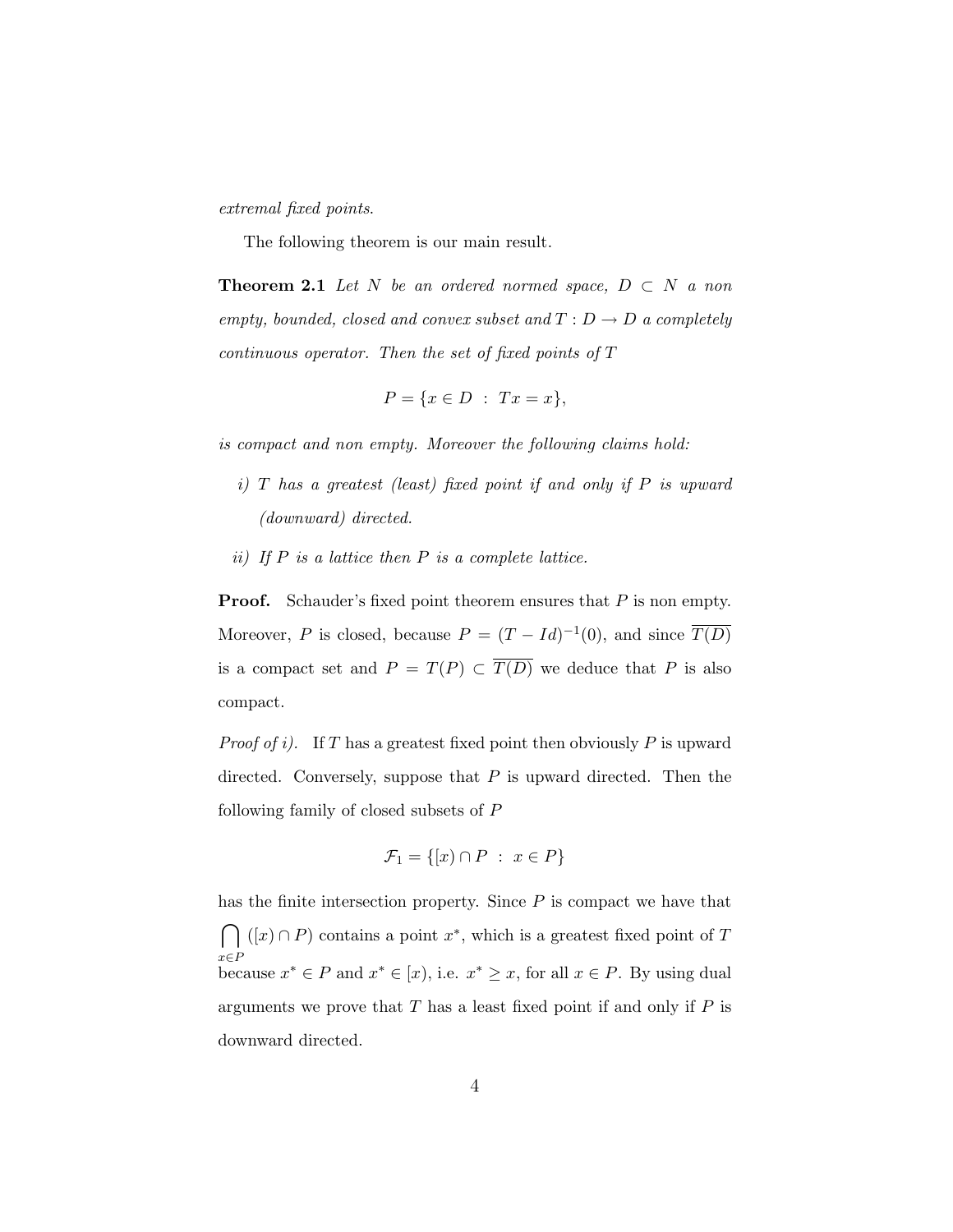extremal fixed points.

The following theorem is our main result.

**Theorem 2.1** Let N be an ordered normed space,  $D \subset N$  a non empty, bounded, closed and convex subset and  $T : D \to D$  a completely continuous operator. Then the set of fixed points of T

$$
P = \{x \in D : Tx = x\},\
$$

is compact and non empty. Moreover the following claims hold:

- $i)$  T has a greatest (least) fixed point if and only if P is upward (downward) directed.
- ii) If  $P$  is a lattice then  $P$  is a complete lattice.

**Proof.** Schauder's fixed point theorem ensures that P is non empty. Moreover, P is closed, because  $P = (T - Id)^{-1}(0)$ , and since  $\overline{T(D)}$ is a compact set and  $P = T(P) \subset \overline{T(D)}$  we deduce that P is also compact.

*Proof of i)*. If T has a greatest fixed point then obviously P is upward directed. Conversely, suppose that  $P$  is upward directed. Then the following family of closed subsets of P

$$
\mathcal{F}_1 = \{ [x) \cap P \; : \; x \in P \}
$$

has the finite intersection property. Since  $P$  is compact we have that  $\sim$ x∈P  $([x] \cap P)$  contains a point  $x^*$ , which is a greatest fixed point of T because  $x^* \in P$  and  $x^* \in [x]$ , i.e.  $x^* \geq x$ , for all  $x \in P$ . By using dual arguments we prove that  $T$  has a least fixed point if and only if  $P$  is downward directed.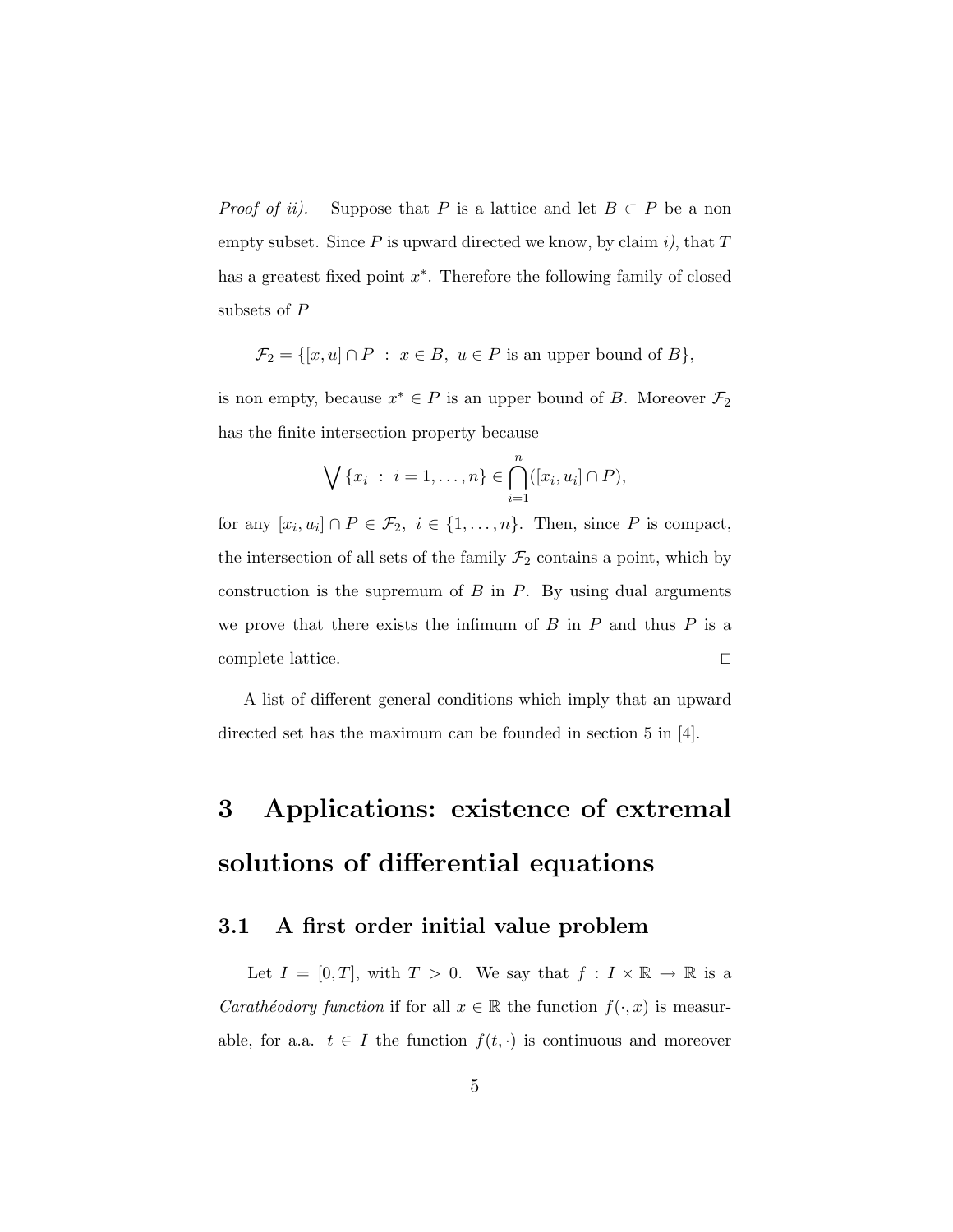*Proof of ii).* Suppose that P is a lattice and let  $B \subset P$  be a non empty subset. Since  $P$  is upward directed we know, by claim i), that  $T$ has a greatest fixed point  $x^*$ . Therefore the following family of closed subsets of P

$$
\mathcal{F}_2 = \{ [x, u] \cap P : x \in B, u \in P \text{ is an upper bound of } B \},
$$

is non empty, because  $x^* \in P$  is an upper bound of B. Moreover  $\mathcal{F}_2$ has the finite intersection property because

$$
\bigvee \{x_i : i = 1, ..., n\} \in \bigcap_{i=1}^n ([x_i, u_i] \cap P),
$$

for any  $[x_i, u_i] \cap P \in \mathcal{F}_2$ ,  $i \in \{1, \ldots, n\}$ . Then, since P is compact, the intersection of all sets of the family  $\mathcal{F}_2$  contains a point, which by construction is the supremum of  $B$  in  $P$ . By using dual arguments we prove that there exists the infimum of  $B$  in  $P$  and thus  $P$  is a complete lattice.  $\hfill\Box$ 

A list of different general conditions which imply that an upward directed set has the maximum can be founded in section 5 in [4].

# 3 Applications: existence of extremal solutions of differential equations

### 3.1 A first order initial value problem

Let  $I = [0, T]$ , with  $T > 0$ . We say that  $f : I \times \mathbb{R} \to \mathbb{R}$  is a *Carathéodory function* if for all  $x \in \mathbb{R}$  the function  $f(\cdot, x)$  is measurable, for a.a.  $t \in I$  the function  $f(t, \cdot)$  is continuous and moreover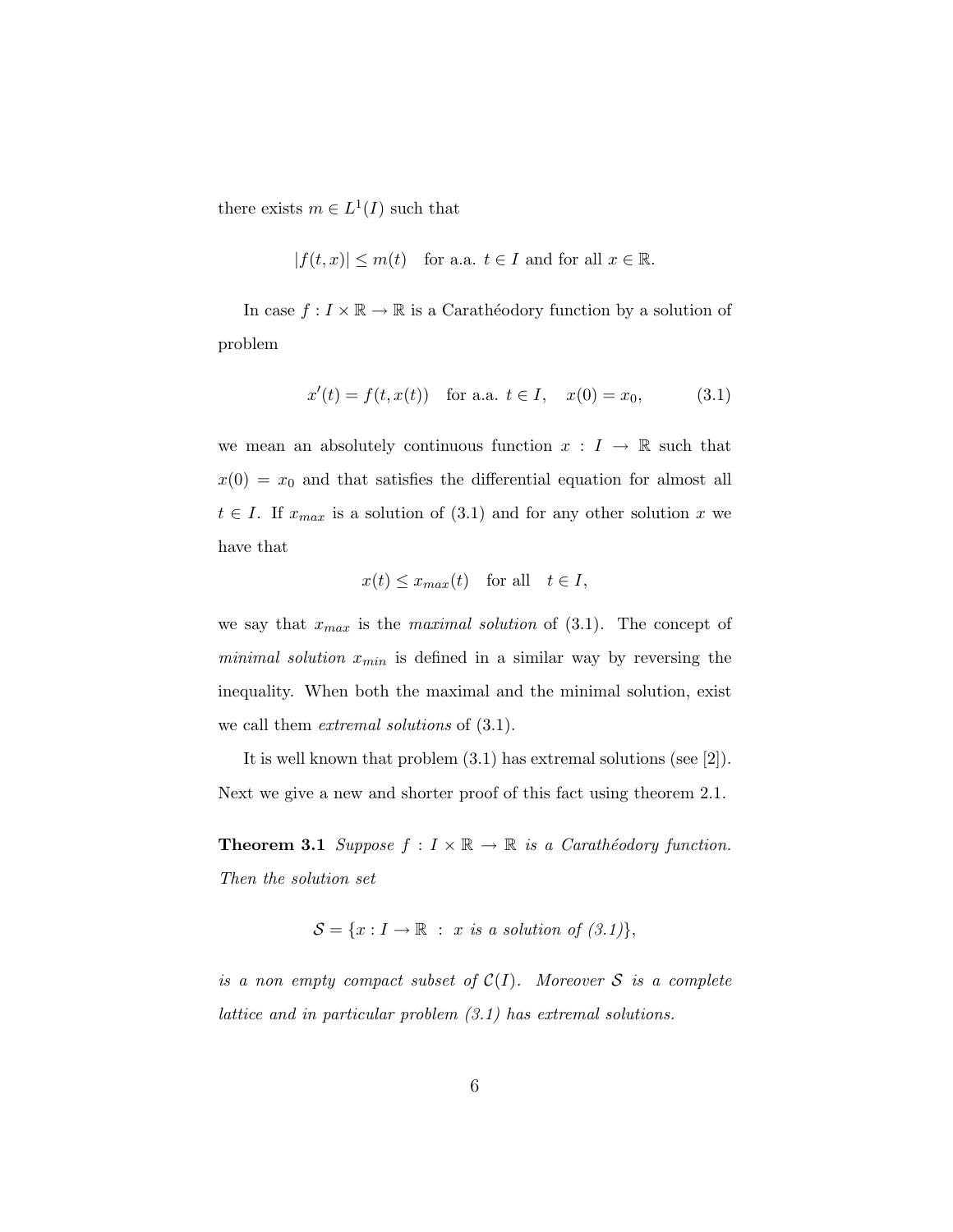there exists  $m \in L^1(I)$  such that

$$
|f(t,x)| \le m(t) \quad \text{for a.a. } t \in I \text{ and for all } x \in \mathbb{R}.
$$

In case  $f: I \times \mathbb{R} \to \mathbb{R}$  is a Carathéodory function by a solution of problem

$$
x'(t) = f(t, x(t)) \quad \text{for a.a. } t \in I, \quad x(0) = x_0,\tag{3.1}
$$

we mean an absolutely continuous function  $x : I \to \mathbb{R}$  such that  $x(0) = x_0$  and that satisfies the differential equation for almost all  $t \in I$ . If  $x_{max}$  is a solution of (3.1) and for any other solution x we have that

$$
x(t) \leq x_{max}(t)
$$
 for all  $t \in I$ ,

we say that  $x_{max}$  is the maximal solution of (3.1). The concept of *minimal solution*  $x_{min}$  is defined in a similar way by reversing the inequality. When both the maximal and the minimal solution, exist we call them *extremal solutions* of  $(3.1)$ .

It is well known that problem (3.1) has extremal solutions (see [2]). Next we give a new and shorter proof of this fact using theorem 2.1.

**Theorem 3.1** Suppose  $f: I \times \mathbb{R} \to \mathbb{R}$  is a Carathéodory function. Then the solution set

$$
\mathcal{S} = \{x : I \to \mathbb{R} : x \text{ is a solution of } (3.1)\},
$$

is a non empty compact subset of  $\mathcal{C}(I)$ . Moreover S is a complete lattice and in particular problem (3.1) has extremal solutions.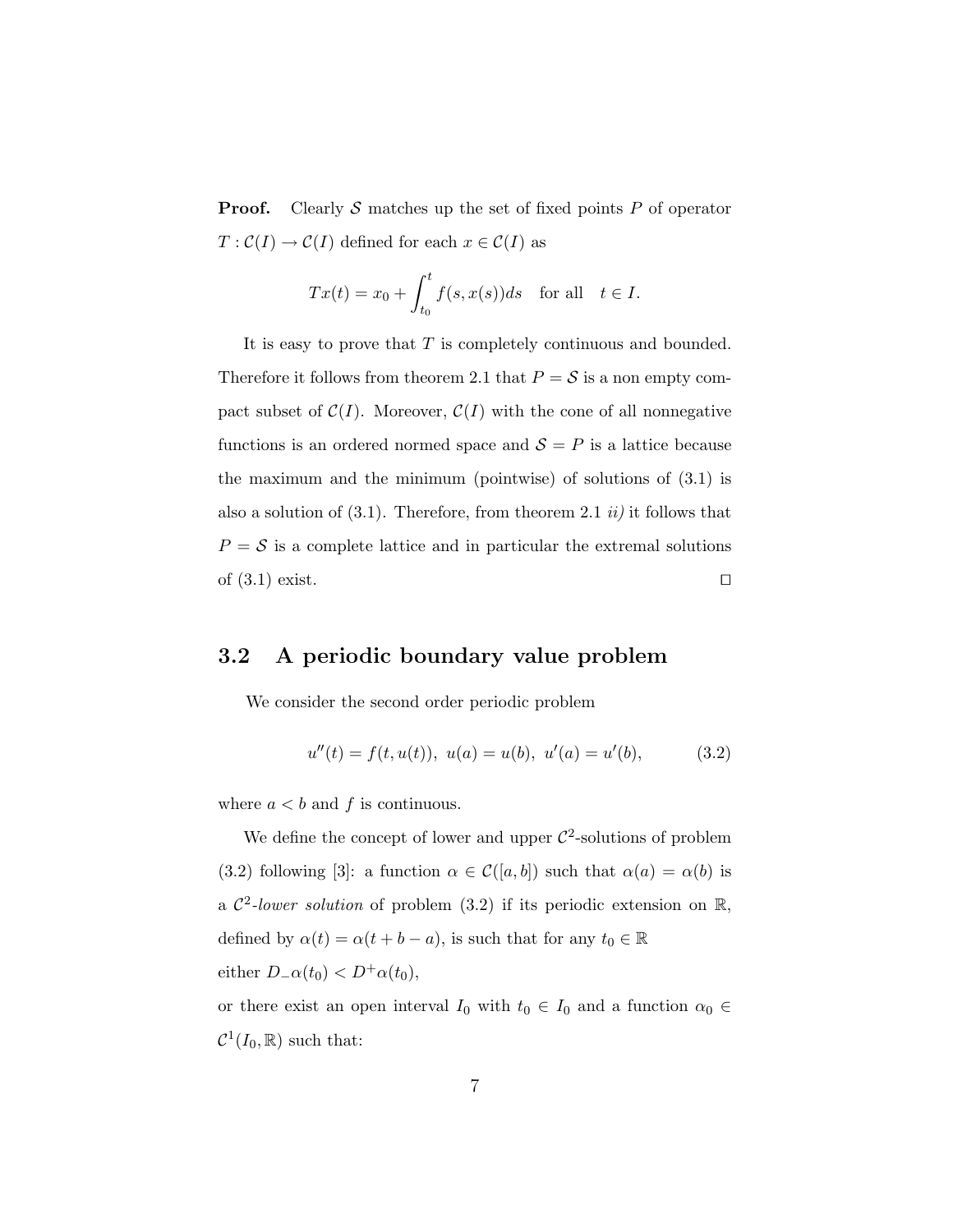**Proof.** Clearly S matches up the set of fixed points P of operator  $T: \mathcal{C}(I) \to \mathcal{C}(I)$  defined for each  $x \in \mathcal{C}(I)$  as

$$
Tx(t) = x_0 + \int_{t_0}^t f(s, x(s))ds \text{ for all } t \in I.
$$

It is easy to prove that  $T$  is completely continuous and bounded. Therefore it follows from theorem 2.1 that  $P = S$  is a non empty compact subset of  $\mathcal{C}(I)$ . Moreover,  $\mathcal{C}(I)$  with the cone of all nonnegative functions is an ordered normed space and  $S = P$  is a lattice because the maximum and the minimum (pointwise) of solutions of (3.1) is also a solution of  $(3.1)$ . Therefore, from theorem 2.1 *ii*) it follows that  $P = S$  is a complete lattice and in particular the extremal solutions of  $(3.1)$  exist.

### 3.2 A periodic boundary value problem

We consider the second order periodic problem

$$
u''(t) = f(t, u(t)), \ u(a) = u(b), \ u'(a) = u'(b), \tag{3.2}
$$

where  $a < b$  and f is continuous.

We define the concept of lower and upper  $\mathcal{C}^2$ -solutions of problem (3.2) following [3]: a function  $\alpha \in \mathcal{C}([a, b])$  such that  $\alpha(a) = \alpha(b)$  is a  $\mathcal{C}^2$ -lower solution of problem (3.2) if its periodic extension on  $\mathbb{R}$ , defined by  $\alpha(t) = \alpha(t + b - a)$ , is such that for any  $t_0 \in \mathbb{R}$ either  $D_{-}\alpha(t_0) < D^{+}\alpha(t_0)$ ,

or there exist an open interval  $I_0$  with  $t_0 \in I_0$  and a function  $\alpha_0 \in$  $\mathcal{C}^1(I_0,\mathbb{R})$  such that: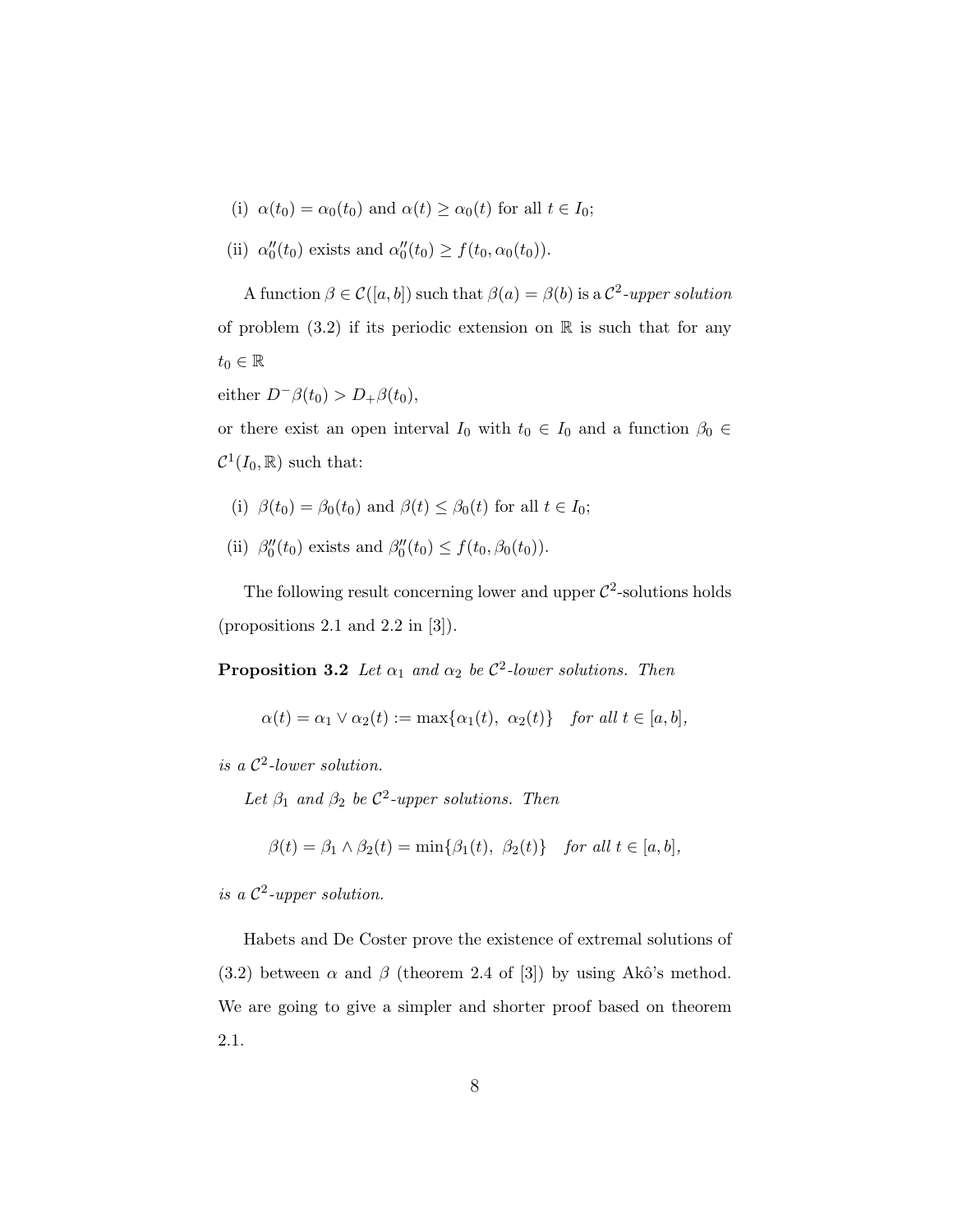- (i)  $\alpha(t_0) = \alpha_0(t_0)$  and  $\alpha(t) \geq \alpha_0(t)$  for all  $t \in I_0$ ;
- (ii)  $\alpha_0''(t_0)$  exists and  $\alpha_0''(t_0) \ge f(t_0, \alpha_0(t_0)).$

A function  $\beta \in \mathcal{C}([a, b])$  such that  $\beta(a) = \beta(b)$  is a  $\mathcal{C}^2$ -upper solution of problem  $(3.2)$  if its periodic extension on R is such that for any  $t_0 \in \mathbb{R}$ 

either  $D^{-}\beta(t_0) > D_{+}\beta(t_0)$ ,

or there exist an open interval  $I_0$  with  $t_0 \in I_0$  and a function  $\beta_0 \in$  $\mathcal{C}^1(I_0,\mathbb{R})$  such that:

- (i)  $\beta(t_0) = \beta_0(t_0)$  and  $\beta(t) \leq \beta_0(t)$  for all  $t \in I_0$ ;
- (ii)  $\beta_0''(t_0)$  exists and  $\beta_0''(t_0) \le f(t_0, \beta_0(t_0)).$

The following result concerning lower and upper  $\mathcal{C}^2$ -solutions holds (propositions 2.1 and 2.2 in [3]).

**Proposition 3.2** Let  $\alpha_1$  and  $\alpha_2$  be  $\mathcal{C}^2$ -lower solutions. Then

$$
\alpha(t) = \alpha_1 \vee \alpha_2(t) := \max\{\alpha_1(t), \ \alpha_2(t)\} \quad \text{for all } t \in [a, b],
$$

is a  $\mathcal{C}^2$ -lower solution.

Let  $\beta_1$  and  $\beta_2$  be  $\mathcal{C}^2$ -upper solutions. Then

$$
\beta(t) = \beta_1 \wedge \beta_2(t) = \min\{\beta_1(t), \ \beta_2(t)\} \quad \text{for all } t \in [a, b],
$$

is a  $\mathcal{C}^2$ -upper solution.

Habets and De Coster prove the existence of extremal solutions of (3.2) between  $\alpha$  and  $\beta$  (theorem 2.4 of [3]) by using Akô's method. We are going to give a simpler and shorter proof based on theorem 2.1.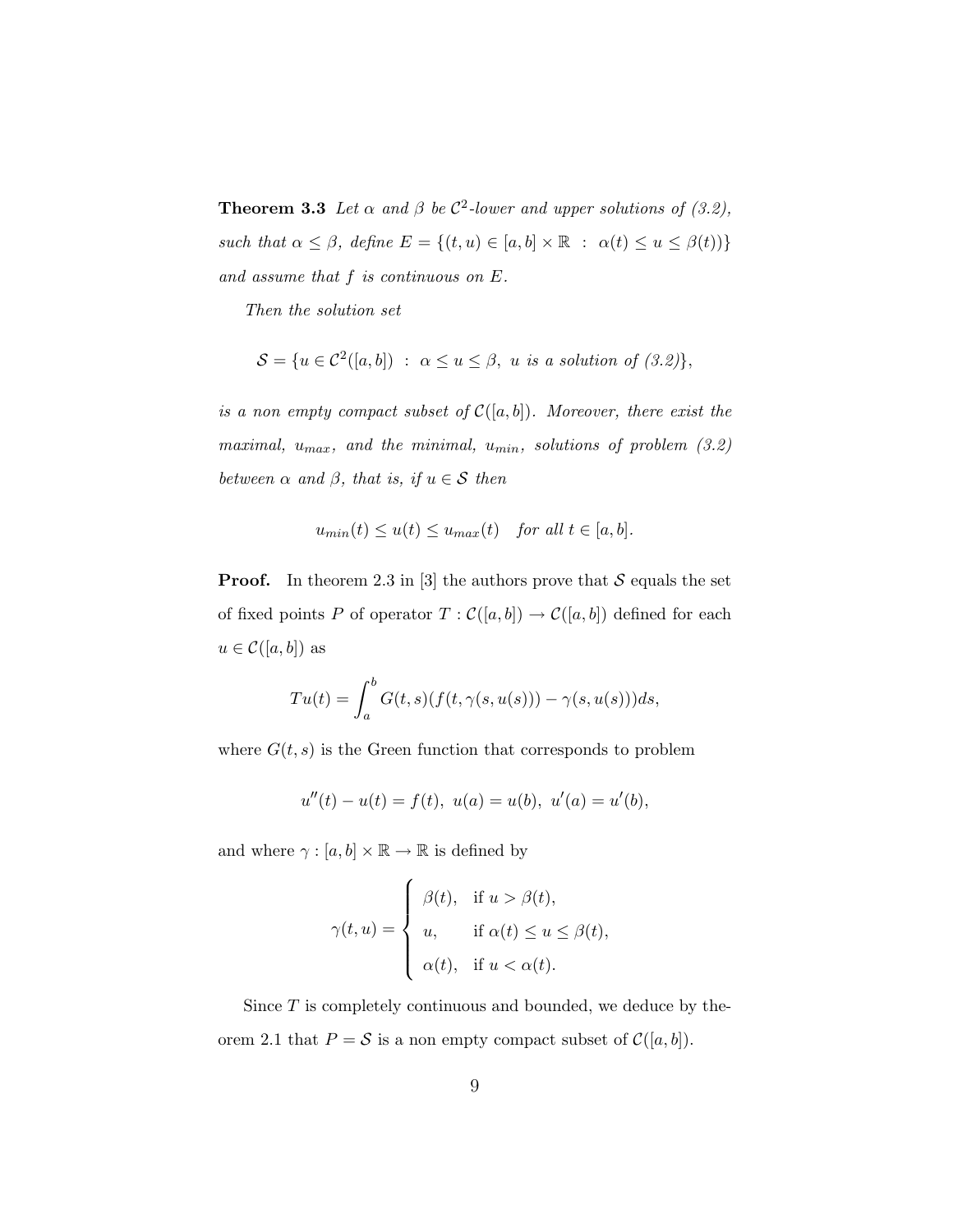**Theorem 3.3** Let  $\alpha$  and  $\beta$  be  $\mathcal{C}^2$ -lower and upper solutions of (3.2), such that  $\alpha \leq \beta$ , define  $E = \{(t, u) \in [a, b] \times \mathbb{R} : \alpha(t) \leq u \leq \beta(t)\}\$ and assume that  $f$  is continuous on  $E$ .

Then the solution set

$$
\mathcal{S} = \{ u \in C^2([a, b]) \; : \; \alpha \le u \le \beta, \; u \; is \; a \; solution \; of \; (3.2) \},
$$

is a non empty compact subset of  $C([a, b])$ . Moreover, there exist the maximal,  $u_{max}$ , and the minimal,  $u_{min}$ , solutions of problem (3.2) between  $\alpha$  and  $\beta$ , that is, if  $u \in \mathcal{S}$  then

$$
u_{min}(t) \le u(t) \le u_{max}(t) \quad \text{for all } t \in [a, b].
$$

**Proof.** In theorem 2.3 in [3] the authors prove that  $S$  equals the set of fixed points P of operator  $T : \mathcal{C}([a, b]) \to \mathcal{C}([a, b])$  defined for each  $u \in \mathcal{C}([a, b])$  as

$$
Tu(t) = \int_a^b G(t,s)(f(t,\gamma(s,u(s))) - \gamma(s,u(s)))ds,
$$

where  $G(t, s)$  is the Green function that corresponds to problem

$$
u''(t) - u(t) = f(t), \ u(a) = u(b), \ u'(a) = u'(b),
$$

and where  $\gamma:[a,b]\times\mathbb{R}\rightarrow\mathbb{R}$  is defined by

$$
\gamma(t, u) = \begin{cases} \beta(t), & \text{if } u > \beta(t), \\ u, & \text{if } \alpha(t) \le u \le \beta(t), \\ \alpha(t), & \text{if } u < \alpha(t). \end{cases}
$$

Since T is completely continuous and bounded, we deduce by theorem 2.1 that  $P = S$  is a non empty compact subset of  $C([a, b])$ .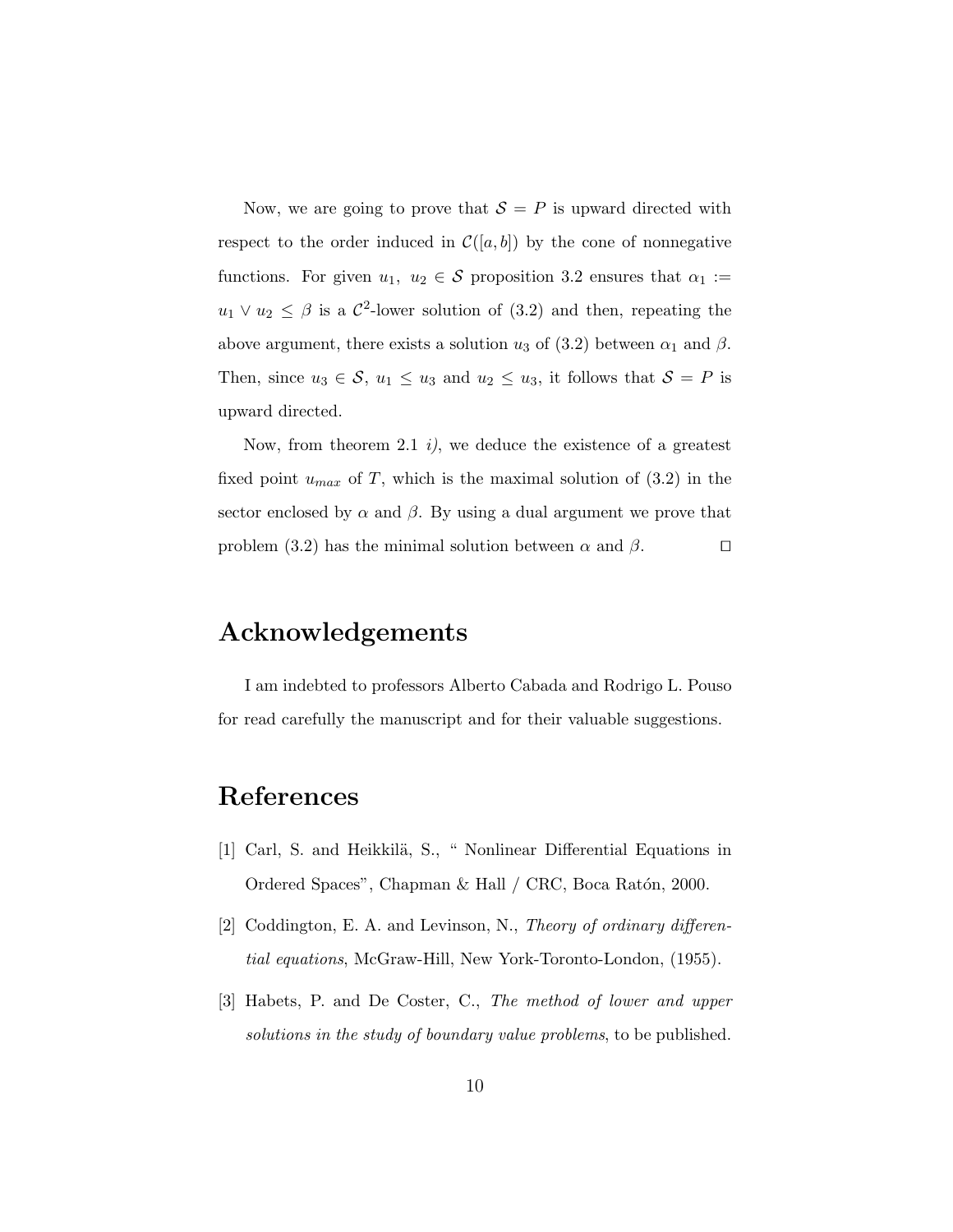Now, we are going to prove that  $S = P$  is upward directed with respect to the order induced in  $\mathcal{C}([a, b])$  by the cone of nonnegative functions. For given  $u_1, u_2 \in \mathcal{S}$  proposition 3.2 ensures that  $\alpha_1 :=$  $u_1 \vee u_2 \leq \beta$  is a  $\mathcal{C}^2$ -lower solution of (3.2) and then, repeating the above argument, there exists a solution  $u_3$  of (3.2) between  $\alpha_1$  and  $\beta$ . Then, since  $u_3 \in \mathcal{S}$ ,  $u_1 \leq u_3$  and  $u_2 \leq u_3$ , it follows that  $\mathcal{S} = P$  is upward directed.

Now, from theorem 2.1  $i$ , we deduce the existence of a greatest fixed point  $u_{max}$  of T, which is the maximal solution of  $(3.2)$  in the sector enclosed by  $\alpha$  and  $\beta$ . By using a dual argument we prove that problem (3.2) has the minimal solution between  $\alpha$  and  $\beta$ .  $\square$ 

# Acknowledgements

I am indebted to professors Alberto Cabada and Rodrigo L. Pouso for read carefully the manuscript and for their valuable suggestions.

# References

- [1] Carl, S. and Heikkilä, S., " Nonlinear Differential Equations in Ordered Spaces", Chapman & Hall / CRC, Boca Ratón, 2000.
- [2] Coddington, E. A. and Levinson, N., Theory of ordinary differential equations, McGraw-Hill, New York-Toronto-London, (1955).
- [3] Habets, P. and De Coster, C., The method of lower and upper solutions in the study of boundary value problems, to be published.